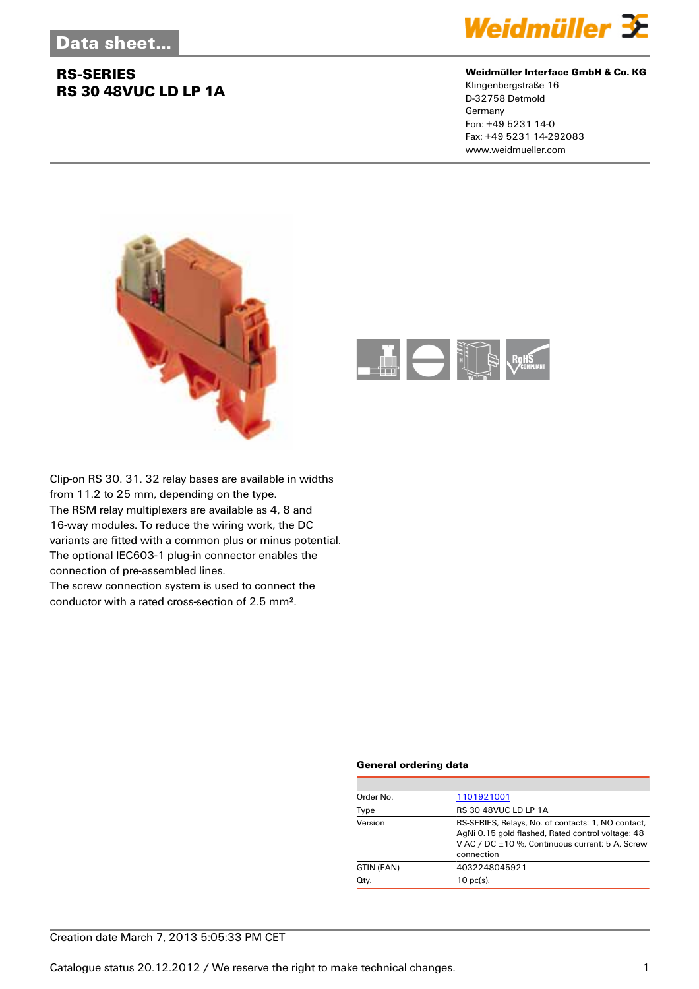# **RS-SERIES RS 30 48VUC LD LP 1A**



#### **Weidmüller Interface GmbH & Co. KG**

Klingenbergstraße 16 D-32758 Detmold Germany Fon: +49 5231 14-0 Fax: +49 5231 14-292083 www.weidmueller.com





Clip-on RS 30. 31. 32 relay bases are available in widths from 11.2 to 25 mm, depending on the type. The RSM relay multiplexers are available as 4, 8 and 16-way modules. To reduce the wiring work, the DC variants are fitted with a common plus or minus potential. The optional IEC603-1 plug-in connector enables the connection of pre-assembled lines.

The screw connection system is used to connect the conductor with a rated cross-section of 2.5 mm².

#### **General ordering data**

| Order No.  | 1101921001                                                                                                                                                               |
|------------|--------------------------------------------------------------------------------------------------------------------------------------------------------------------------|
| Type       | <b>RS 30 48VUC LD LP 1A</b>                                                                                                                                              |
| Version    | RS-SERIES, Relays, No. of contacts: 1, NO contact,<br>AgNi 0.15 gold flashed, Rated control voltage: 48<br>V AC / DC ±10 %, Continuous current: 5 A, Screw<br>connection |
| GTIN (EAN) | 4032248045921                                                                                                                                                            |
| Qty.       | $10$ pc(s).                                                                                                                                                              |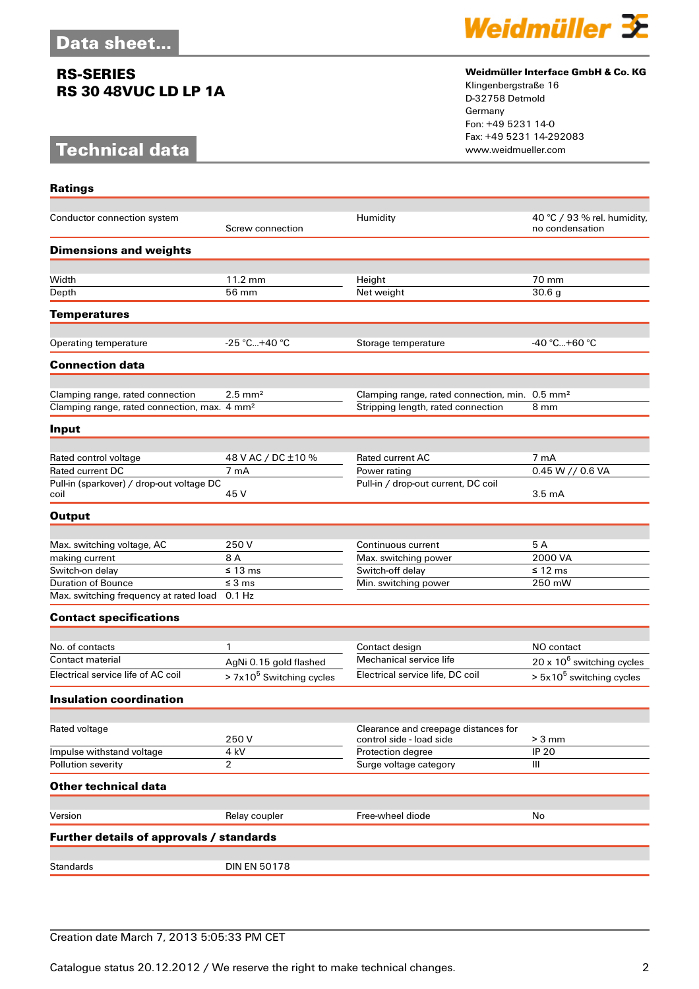# **RS-SERIES RS 30 48VUC LD LP 1A**

# **Technical data**

**Ratings**



### **Weidmüller Interface GmbH & Co. KG**

Klingenbergstraße 16 D-32758 Detmold Germany Fon: +49 5231 14-0 Fax: +49 5231 14-292083

| Conductor connection system                              | Screw connection                     | Humidity                                                         | 40 °C / 93 % rel. humidity,<br>no condensation |
|----------------------------------------------------------|--------------------------------------|------------------------------------------------------------------|------------------------------------------------|
| <b>Dimensions and weights</b>                            |                                      |                                                                  |                                                |
|                                                          |                                      |                                                                  |                                                |
| Width                                                    | 11.2 mm                              | Height                                                           | 70 mm                                          |
| Depth                                                    | 56 mm                                | Net weight                                                       | 30.6 g                                         |
| <b>Temperatures</b>                                      |                                      |                                                                  |                                                |
| Operating temperature                                    | $-25 °C+40 °C$                       | Storage temperature                                              | $-40 °C+60 °C$                                 |
|                                                          |                                      |                                                                  |                                                |
| <b>Connection data</b>                                   |                                      |                                                                  |                                                |
| Clamping range, rated connection                         | $2.5$ mm <sup>2</sup>                | Clamping range, rated connection, min. 0.5 mm <sup>2</sup>       |                                                |
| Clamping range, rated connection, max. 4 mm <sup>2</sup> |                                      | Stripping length, rated connection                               | 8 mm                                           |
| Input                                                    |                                      |                                                                  |                                                |
|                                                          |                                      |                                                                  |                                                |
| Rated control voltage                                    | 48 V AC / DC ±10 %                   | <b>Rated current AC</b>                                          | 7 mA                                           |
| Rated current DC                                         | 7 mA                                 | Power rating                                                     | $0.45 W$ // 0.6 VA                             |
| Pull-in (sparkover) / drop-out voltage DC<br>coil        | 45 V                                 | Pull-in / drop-out current, DC coil                              | $3.5 \text{ mA}$                               |
|                                                          |                                      |                                                                  |                                                |
| <b>Output</b>                                            |                                      |                                                                  |                                                |
| Max. switching voltage, AC                               | 250 V                                | Continuous current                                               | 5 A                                            |
| making current                                           | 8 A                                  | Max. switching power                                             | 2000 VA                                        |
| Switch-on delay                                          | $\leq 13 \text{ ms}$                 | Switch-off delay                                                 | $\leq 12 \text{ ms}$                           |
| <b>Duration of Bounce</b>                                | $\leq$ 3 ms                          | Min. switching power                                             | 250 mW                                         |
| Max. switching frequency at rated load                   | $0.1$ Hz                             |                                                                  |                                                |
| <b>Contact specifications</b>                            |                                      |                                                                  |                                                |
|                                                          |                                      |                                                                  |                                                |
| No. of contacts                                          | 1                                    | Contact design                                                   | NO contact                                     |
| <b>Contact material</b>                                  | AgNi 0.15 gold flashed               | Mechanical service life                                          | $20 \times 10^6$ switching cycles              |
| Electrical service life of AC coil                       | > 7x10 <sup>5</sup> Switching cycles | Electrical service life, DC coil                                 | $> 5x105$ switching cycles                     |
| <b>Insulation coordination</b>                           |                                      |                                                                  |                                                |
|                                                          |                                      |                                                                  |                                                |
| Rated voltage                                            | 250V                                 | Clearance and creepage distances for<br>control side - load side | $> 3$ mm                                       |
| Impulse withstand voltage                                | 4 kV                                 | Protection degree                                                | <b>IP 20</b>                                   |
| Pollution severity                                       | 2                                    | Surge voltage category                                           | III                                            |
| <b>Other technical data</b>                              |                                      |                                                                  |                                                |
|                                                          |                                      |                                                                  |                                                |
| Version                                                  | Relay coupler                        | Free-wheel diode                                                 | No                                             |
| Further details of approvals / standards                 |                                      |                                                                  |                                                |
| <b>Standards</b>                                         | <b>DIN EN 50178</b>                  |                                                                  |                                                |
|                                                          |                                      |                                                                  |                                                |